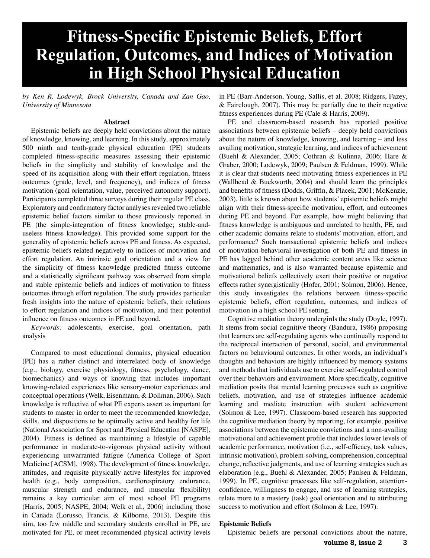# **Fitness-Specific Epistemic Beliefs, Effort Regulation, Outcomes, and Indices of Motivation Lating High School Physical Education**

*by Ken R. Lodewyk, Brock University, Canada and Zan Gao, University of Minnesota* 

## **Abstract**

Epistemic beliefs are deeply held convictions about the nature of knowledge, knowing, and learning. In this study, approximately 500 ninth and tenth-grade physical education (PE) students completed fitness-specific measures assessing their epistemic beliefs in the simplicity and stability of knowledge and the speed of its acquisition along with their effort regulation, fitness outcomes (grade, level, and frequency), and indices of fitness motivation (goal orientation, value, perceived autonomy support). Participants completed three surveys during their regular PE class. Exploratory and confirmatory factor analyses revealed two reliable epistemic belief factors similar to those previously reported in PE (the simple-integration of fitness knowledge; stable-anduseless fitness knowledge). This provided some support for the generality of epistemic beliefs across PE and fitness. As expected, epistemic beliefs related negatively to indices of motivation and effort regulation. An intrinsic goal orientation and a view for the simplicity of fitness knowledge predicted fitness outcome and a statistically significant pathway was observed from simple and stable epistemic beliefs and indices of motivation to fitness outcomes through effort regulation. The study provides particular fresh insights into the nature of epistemic beliefs, their relations to effort regulation and indices of motivation, and their potential influence on fitness outcomes in PE and beyond.

*Keywords:* adolescents, exercise, goal orientation, path analysis

Compared to most educational domains, physical education (PE) has a rather distinct and interrelated body of knowledge (e.g., biology, exercise physiology, fitness, psychology, dance, biomechanics) and ways of knowing that includes important knowing-related experiences like sensory-motor experiences and conceptual operations (Welk, Eisenmann, & Dollman, 2006). Such knowledge is reflective of what PE experts assert as important for students to master in order to meet the recommended knowledge, skills, and dispositions to be optimally active and healthy for life (National Association for Sport and Physical Education [NASPE], 2004). Fitness is defined as maintaining a lifestyle of capable performance in moderate-to-vigorous physical activity without experiencing unwarranted fatigue (America College of Sport Medicine [ACSM], 1998). The development of fitness knowledge, attitudes, and requisite physically active lifestyles for improved health (e.g., body composition, cardiorespiratory endurance, muscular strength and endurance, and muscular flexibility) remains a key curricular aim of most school PE programs (Harris, 2005; NASPE, 2004; Welk et al., 2006) including those in Canada (Lorusso, Francis, & Kilborne, 2013). Despite this aim, too few middle and secondary students enrolled in PE, are motivated for PE, or meet recommended physical activity levels in PE (Barr-Anderson, Young, Sallis, et al. 2008; Ridgers, Fazey, & Fairclough, 2007). This may be partially due to their negative fitness experiences during PE (Cale & Harris, 2009).

PE and classroom-based research has reported positive associations between epistemic beliefs – deeply held convictions about the nature of knowledge, knowing, and learning – and less availing motivation, strategic learning, and indices of achievement (Buehl & Alexander, 2005; Cothran & Kulinna, 2006; Hare & Graber, 2000; Lodewyk, 2009; Paulsen & Feldman, 1999). While it is clear that students need motivating fitness experiences in PE (Wallhead & Buckworth, 2004) and should learn the principles and benefits of fitness (Dodds, Griffin, & Placek, 2001; McKenzie, 2003), little is known about how students' epistemic beliefs might align with their fitness-specific motivation, effort, and outcomes during PE and beyond. For example, how might believing that fitness knowledge is ambiguous and unrelated to health, PE, and other academic domains relate to students' motivation, effort, and performance? Such transactional epistemic beliefs and indices of motivation-behavioral investigation of both PE and fitness in PE has lagged behind other academic content areas like science and mathematics, and is also warranted because epistemic and motivational beliefs collectively exert their positive or negative effects rather synergistically (Hofer, 2001; Solmon, 2006). Hence, this study investigates the relations between fitness-specific epistemic beliefs, effort regulation, outcomes, and indices of motivation in a high school PE setting.

Cognitive mediation theory undergirds the study (Doyle, 1997). It stems from social cognitive theory (Bandura, 1986) proposing that learners are self-regulating agents who continually respond to the reciprocal interaction of personal, social, and environmental factors on behavioural outcomes. In other words, an individual's thoughts and behaviors are highly influenced by memory systems and methods that individuals use to exercise self-regulated control over their behaviors and environment. More specifically, cognitive mediation posits that mental learning processes such as cognitive beliefs, motivation, and use of strategies influence academic learning and mediate instruction with student achievement (Solmon & Lee, 1997). Classroom-based research has supported the cognitive mediation theory by reporting, for example, positive associations between the epistemic convictions and a non-availing motivational and achievement profile that includes lower levels of academic performance, motivation (i.e., self-efficacy, task values, intrinsic motivation), problem-solving, comprehension, conceptual change, reflective judgments, and use of learning strategies such as elaboration (e.g., Buehl & Alexander, 2005; Paulsen & Feldman, 1999). In PE, cognitive processes like self-regulation, attentionconfidence, willingness to engage, and use of learning strategies, relate more to a mastery (task) goal orientation and to attributing success to motivation and effort (Solmon & Lee, 1997).

# **Epistemic Beliefs**

Epistemic beliefs are personal convictions about the nature,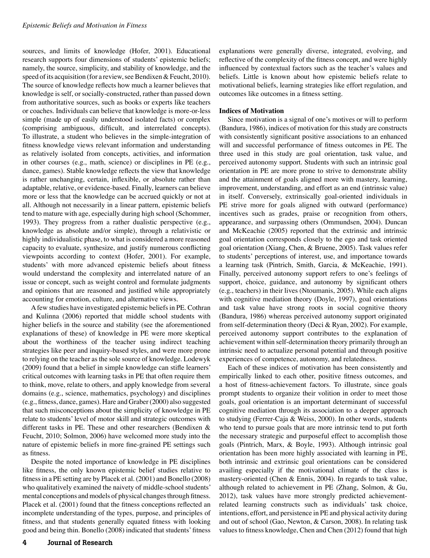sources, and limits of knowledge (Hofer, 2001). Educational research supports four dimensions of students' epistemic beliefs; namely, the source, simplicity, and stability of knowledge, and the speed of its acquisition (for a review, see Bendixen & Feucht, 2010). The source of knowledge reflects how much a learner believes that knowledge is self, or socially-constructed, rather than passed down from authoritative sources, such as books or experts like teachers or coaches. Individuals can believe that knowledge is more-or-less simple (made up of easily understood isolated facts) or complex (comprising ambiguous, difficult, and interrelated concepts). To illustrate, a student who believes in the simple-integration of fitness knowledge views relevant information and understanding as relatively isolated from concepts, activities, and information in other courses (e.g., math, science) or disciplines in PE (e.g., dance, games). Stable knowledge reflects the view that knowledge is rather unchanging, certain, inflexible, or absolute rather than adaptable, relative, or evidence-based. Finally, learners can believe more or less that the knowledge can be accrued quickly or not at all. Although not necessarily in a linear pattern, epistemic beliefs tend to mature with age, especially during high school (Schommer, 1993). They progress from a rather dualistic perspective (e.g., knowledge as absolute and/or simple), through a relativistic or highly individualistic phase, to what is considered a more reasoned capacity to evaluate, synthesize, and justify numerous conflicting viewpoints according to context (Hofer, 2001). For example, students' with more advanced epistemic beliefs about fitness would understand the complexity and interrelated nature of an issue or concept, such as weight control and formulate judgments and opinions that are reasoned and justified while appropriately accounting for emotion, culture, and alternative views.

A few studies have investigated epistemic beliefs in PE. Cothran and Kulinna (2006) reported that middle school students with higher beliefs in the source and stability (see the aforementioned explanations of these) of knowledge in PE were more skeptical about the worthiness of the teacher using indirect teaching strategies like peer and inquiry-based styles, and were more prone to relying on the teacher as the sole source of knowledge. Lodewyk (2009) found that a belief in simple knowledge can stifle learners' critical outcomes with learning tasks in PE that often require them to think, move, relate to others, and apply knowledge from several domains (e.g., science, mathematics, psychology) and disciplines (e.g., fitness, dance, games). Hare and Graber (2000) also suggested that such misconceptions about the simplicity of knowledge in PE relate to students' level of motor skill and strategic outcomes with different tasks in PE. These and other researchers (Bendixen & Feucht, 2010; Solmon, 2006) have welcomed more study into the nature of epistemic beliefs in more fine-grained PE settings such as fitness.

Despite the noted importance of knowledge in PE disciplines like fitness, the only known epistemic belief studies relative to fitness in a PE setting are by Placek et al. (2001) and Bonello (2008) who qualitatively examined the naivety of middle-school students' mental conceptions and models of physical changes through fitness. Placek et al. (2001) found that the fitness conceptions reflected an incomplete understanding of the types, purpose, and principles of fitness, and that students generally equated fitness with looking good and being thin. Bonello (2008) indicated that students' fitness

explanations were generally diverse, integrated, evolving, and reflective of the complexity of the fitness concept, and were highly influenced by contextual factors such as the teacher's values and beliefs. Little is known about how epistemic beliefs relate to motivational beliefs, learning strategies like effort regulation, and outcomes like outcomes in a fitness setting.

# **Indices of Motivation**

Since motivation is a signal of one's motives or will to perform (Bandura, 1986), indices of motivation for this study are constructs with consistently significant positive associations to an enhanced will and successful performance of fitness outcomes in PE. The three used in this study are goal orientation, task value, and perceived autonomy support. Students with such an intrinsic goal orientation in PE are more prone to strive to demonstrate ability and the attainment of goals aligned more with mastery, learning, improvement, understanding, and effort as an end (intrinsic value) in itself. Conversely, extrinsically goal-oriented individuals in PE strive more for goals aligned with outward (performance) incentives such as grades, praise or recognition from others, appearance, and surpassing others (Ommundsen, 2004). Duncan and McKeachie (2005) reported that the extrinsic and intrinsic goal orientation corresponds closely to the ego and task oriented goal orientation (Xiang, Chen, & Bruene, 2005). Task values refer to students' perceptions of interest, use, and importance towards a learning task (Pintrich, Smith, Garcia, & McKeachie, 1991). Finally, perceived autonomy support refers to one's feelings of support, choice, guidance, and autonomy by significant others (e.g., teachers) in their lives (Ntoumanis, 2005). While each aligns with cognitive mediation theory (Doyle, 1997), goal orientations and task value have strong roots in social cognitive theory (Bandura, 1986) whereas perceived autonomy support originated from self-determination theory (Deci & Ryan, 2002). For example, perceived autonomy support contributes to the explanation of achievement within self-determination theory primarily through an intrinsic need to actualize personal potential and through positive experiences of competence, autonomy, and relatedness.

Each of these indices of motivation has been consistently and empirically linked to each other, positive fitness outcomes, and a host of fitness-achievement factors. To illustrate, since goals prompt students to organize their volition in order to meet those goals, goal orientation is an important determinant of successful cognitive mediation through its association to a deeper approach to studying (Ferrer-Caja & Weiss, 2000). In other words, students who tend to pursue goals that are more intrinsic tend to put forth the necessary strategic and purposeful effect to accomplish those goals (Pintrich, Marx, & Boyle, 1993). Although intrinsic goal orientation has been more highly associated with learning in PE, both intrinsic and extrinsic goal orientations can be considered availing especially if the motivational climate of the class is mastery-oriented (Chen & Ennis, 2004). In regards to task value, although related to achievement in PE (Zhang, Solmon, & Gu, 2012), task values have more strongly predicted achievementrelated learning constructs such as individuals' task choice, intentions, effort, and persistence in PE and physical activity during and out of school (Gao, Newton, & Carson, 2008). In relating task values to fitness knowledge, Chen and Chen (2012) found that high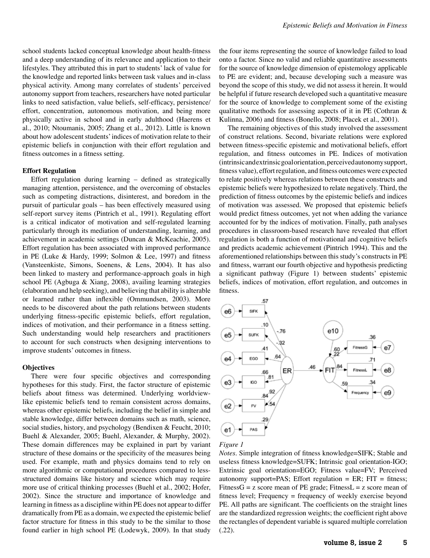school students lacked conceptual knowledge about health-fitness and a deep understanding of its relevance and application to their lifestyles. They attributed this in part to students' lack of value for the knowledge and reported links between task values and in-class physical activity. Among many correlates of students' perceived autonomy support from teachers, researchers have noted particular links to need satisfaction, value beliefs, self-efficacy, persistence/ effort, concentration, autonomous motivation, and being more physically active in school and in early adulthood (Haerens et al., 2010; Ntoumanis, 2005; Zhang et al., 2012). Little is known about how adolescent students' indices of motivation relate to their epistemic beliefs in conjunction with their effort regulation and fitness outcomes in a fitness setting.

# **Effort Regulation**

Effort regulation during learning – defined as strategically managing attention, persistence, and the overcoming of obstacles such as competing distractions, disinterest, and boredom in the pursuit of particular goals – has been effectively measured using self-report survey items (Pintrich et al., 1991). Regulating effort is a critical indicator of motivation and self-regulated learning particularly through its mediation of understanding, learning, and achievement in academic settings (Duncan & McKeachie, 2005). Effort regulation has been associated with improved performance in PE (Luke & Hardy, 1999; Solmon & Lee, 1997) and fitness (Vansteenkiste, Simons, Soenens, & Lens, 2004). It has also been linked to mastery and performance-approach goals in high school PE (Agbuga & Xiang, 2008), availing learning strategies (elaboration and help seeking), and believing that ability is alterable or learned rather than inflexible (Ommundsen, 2003). More needs to be discovered about the path relations between students underlying fitness-specific epistemic beliefs, effort regulation, indices of motivation, and their performance in a fitness setting. Such understanding would help researchers and practitioners to account for such constructs when designing interventions to improve students' outcomes in fitness.

# **Objectives**

There were four specific objectives and corresponding hypotheses for this study. First, the factor structure of epistemic beliefs about fitness was determined. Underlying worldviewlike epistemic beliefs tend to remain consistent across domains, whereas other epistemic beliefs, including the belief in simple and stable knowledge, differ between domains such as math, science, social studies, history, and psychology (Bendixen & Feucht, 2010; Buehl & Alexander, 2005; Buehl, Alexander, & Murphy, 2002). These domain differences may be explained in part by variant structure of these domains or the specificity of the measures being used. For example, math and physics domains tend to rely on more algorithmic or computational procedures compared to lessstructured domains like history and science which may require more use of critical thinking processes (Buehl et al., 2002; Hofer, 2002). Since the structure and importance of knowledge and learning in fitness as a discipline within PE does not appear to differ dramatically from PE as a domain, we expected the epistemic belief factor structure for fitness in this study to be the similar to those found earlier in high school PE (Lodewyk, 2009). In that study the four items representing the source of knowledge failed to load onto a factor. Since no valid and reliable quantitative assessments for the source of knowledge dimension of epistemology applicable to PE are evident; and, because developing such a measure was beyond the scope of this study, we did not assess it herein. It would be helpful if future research developed such a quantitative measure for the source of knowledge to complement some of the existing qualitative methods for assessing aspects of it in PE (Cothran & Kulinna, 2006) and fitness (Bonello, 2008; Placek et al., 2001).

The remaining objectives of this study involved the assessment of construct relations. Second, bivariate relations were explored between fitness-specific epistemic and motivational beliefs, effort regulation, and fitness outcomes in PE. Indices of motivation (intrinsic and extrinsic goal orientation, perceived autonomy support, fitness value), effort regulation, and fitness outcomes were expected to relate positively whereas relations between these constructs and epistemic beliefs were hypothesized to relate negatively. Third, the prediction of fitness outcomes by the epistemic beliefs and indices of motivation was assessed. We proposed that epistemic beliefs would predict fitness outcomes, yet not when adding the variance accounted for by the indices of motivation. Finally, path analyses procedures in classroom-based research have revealed that effort regulation is both a function of motivational and cognitive beliefs and predicts academic achievement (Pintrich 1994). This and the aforementioned relationships between this study's constructs in PE and fitness, warrant our fourth objective and hypothesis predicting a significant pathway (Figure 1) between students' epistemic beliefs, indices of motivation, effort regulation, and outcomes in fitness.



*Figure 1* 

*Notes.* Simple integration of fitness knowledge=SIFK; Stable and useless fitness knowledge=SUFK; Intrinsic goal orientation-IGO; Extrinsic goal orientation=EGO; Fitness value=FV; Perceived autonomy support=PAS; Effort regulation = ER; FIT = fitness; Fitness $G = z$  score mean of PE grade; Fitness $L = z$  score mean of fitness level; Frequency = frequency of weekly exercise beyond PE. All paths are significant. The coefficients on the straight lines are the standardized regression weights; the coefficient right above the rectangles of dependent variable is squared multiple correlation (.22).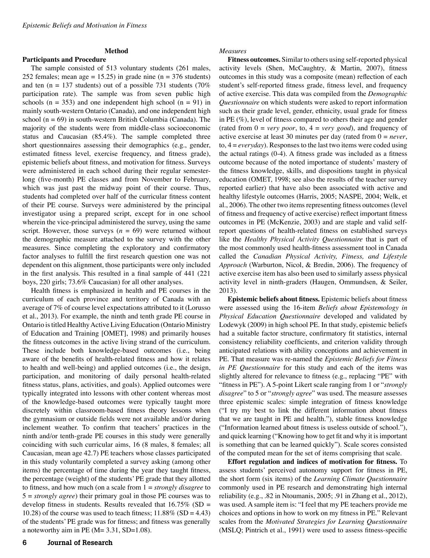# **Method**

**Participants and Procedure** 

The sample consisted of 513 voluntary students (261 males, 252 females; mean age = 15.25) in grade nine ( $n = 376$  students) and ten (n = 137 students) out of a possible 731 students (70%) participation rate). The sample was from seven public high schools ( $n = 353$ ) and one independent high school ( $n = 91$ ) in mainly south-western Ontario (Canada), and one independent high school ( $n = 69$ ) in south-western British Columbia (Canada). The majority of the students were from middle-class socioeconomic status and Caucasian (85.4%). The sample completed three short questionnaires assessing their demographics (e.g., gender, estimated fitness level, exercise frequency, and fitness grade), epistemic beliefs about fitness, and motivation for fitness. Surveys were administered in each school during their regular semesterlong (five-month) PE classes and from November to February, which was just past the midway point of their course. Thus, students had completed over half of the curricular fitness content of their PE course. Surveys were administered by the principal investigator using a prepared script, except for in one school wherein the vice-principal administered the survey, using the same script. However, those surveys  $(n = 69)$  were returned without the demographic measure attached to the survey with the other measures. Since completing the exploratory and confirmatory factor analyses to fulfill the first research question one was not dependent on this alignment, those participants were only included in the first analysis. This resulted in a final sample of 441 (221 boys, 220 girls; 73.6% Caucasian) for all other analyses.

Health fitness is emphasized in health and PE courses in the curriculum of each province and territory of Canada with an average of 7% of course level expectations attributed to it (Lorusso et al., 2013). For example, the ninth and tenth grade PE course in Ontario is titled Healthy Active Living Education (Ontario Ministry of Education and Training [OMET], 1998) and primarily houses the fitness outcomes in the active living strand of the curriculum. These include both knowledge-based outcomes (i.e., being aware of the benefits of health-related fitness and how it relates to health and well-being) and applied outcomes (i.e., the design, participation, and monitoring of daily personal health-related fitness status, plans, activities, and goals). Applied outcomes were typically integrated into lessons with other content whereas most of the knowledge-based outcomes were typically taught more discretely within classroom-based fitness theory lessons when the gymnasium or outside fields were not available and/or during inclement weather. To confirm that teachers' practices in the ninth and/or tenth-grade PE courses in this study were generally coinciding with such curricular aims, 16 (8 males, 8 females; all Caucasian, mean age 42.7) PE teachers whose classes participated in this study voluntarily completed a survey asking (among other items) the percentage of time during the year they taught fitness, the percentage (weight) of the students' PE grade that they allotted to fitness, and how much (on a scale from 1 = *strongly disagree* to 5 = *strongly agree*) their primary goal in those PE courses was to develop fitness in students. Results revealed that  $16.75\%$  (SD = 10.28) of the course was used to teach fitness;  $11.88\%$  (SD = 4.43) of the students' PE grade was for fitness; and fitness was generally a noteworthy aim in PE  $(M= 3.31, SD=1.08)$ .

# 6 Journal of Research

## *Measures*

**Fitness outcomes.** Similar to others using self-reported physical activity levels (Shen, McCaughtry, & Martin, 2007), fitness outcomes in this study was a composite (mean) reflection of each student's self-reported fitness grade, fitness level, and frequency of active exercise. This data was compiled from the *Demographic Questionnaire* on which students were asked to report information such as their grade level, gender, ethnicity, usual grade for fitness in PE (%), level of fitness compared to others their age and gender (rated from  $0 = \text{very poor}$ , to,  $4 = \text{very good}$ ), and frequency of active exercise at least 30 minutes per day (rated from 0 = *never*, to, 4 = *everyday*). Responses to the last two items were coded using the actual ratings (0-4). A fitness grade was included as a fitness outcome because of the noted importance of students' mastery of the fitness knowledge, skills, and dispositions taught in physical education (OMET, 1998; see also the results of the teacher survey reported earlier) that have also been associated with active and healthy lifestyle outcomes (Harris, 2005; NASPE, 2004; Welk, et al., 2006). The other two items representing fitness outcomes (level of fitness and frequency of active exercise) reflect important fitness outcomes in PE (McKenzie, 2003) and are staple and valid selfreport questions of health-related fitness on established surveys like the *Healthy Physical Activity Questionnaire* that is part of the most commonly used health-fitness assessment tool in Canada called the *Canadian Physical Activity, Fitness, and Lifestyle Approach* (Warburton, Nicol, & Bredin, 2006). The frequency of active exercise item has also been used to similarly assess physical activity level in ninth-graders (Haugen, Ommundsen, & Seiler, 2013).

**Epistemic beliefs about fitness.** Epistemic beliefs about fitness were assessed using the 16-item *Beliefs about Epistemology in Physical Education Questionnaire* developed and validated by Lodewyk (2009) in high school PE. In that study, epistemic beliefs had a suitable factor structure, confirmatory fit statistics, internal consistency reliability coefficients, and criterion validity through anticipated relations with ability conceptions and achievement in PE. That measure was re-named the *Epistemic Beliefs for Fitness in PE Questionnaire* for this study and each of the items was slightly altered for relevance to fitness (e.g., replacing "PE" with "fitness in PE"). A 5-point Likert scale ranging from 1 or "*strongly disagree*" to 5 or "*strongly agree*" was used. The measure assesses three epistemic scales: simple integration of fitness knowledge ("I try my best to link the different information about fitness that we are taught in PE and health."), stable fitness knowledge ("Information learned about fitness is useless outside of school."), and quick learning ("Knowing how to get fit and why it is important is something that can be learned quickly"). Scale scores consisted of the computed mean for the set of items comprising that scale.

**Effort regulation and indices of motivation for fitness.** To assess students' perceived autonomy support for fitness in PE, the short form (six items) of the *Learning Climate Questionnaire* commonly used in PE research and demonstrating high internal reliability (e.g., .82 in Ntoumanis, 2005; .91 in Zhang et al., 2012), was used. A sample item is: "I feel that my PE teachers provide me choices and options in how to work on my fitness in PE." Relevant scales from the *Motivated Strategies for Learning Questionnaire* (MSLQ; Pintrich et al., 1991) were used to assess fitness-specific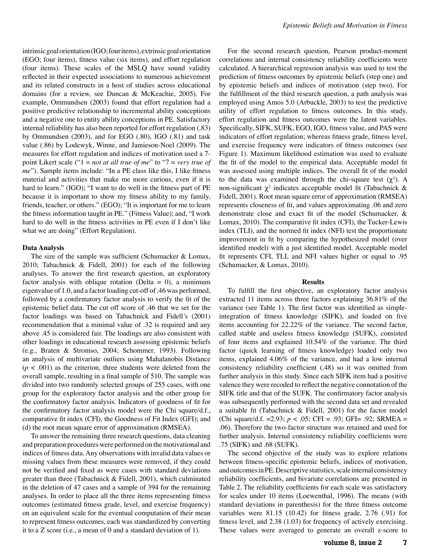intrinsic goal orientation (IGO; four items), extrinsic goal orientation (EGO; four items), fitness value (six items), and effort regulation (four items). These scales of the MSLQ have sound validity reflected in their expected associations to numerous achievement and its related constructs in a host of studies across educational domains (for a review, see Duncan & McKeachie, 2005). For example, Ommundsen (2003) found that effort regulation had a positive predictive relationship to incremental ability conceptions and a negative one to entity ability conceptions in PE. Satisfactory internal reliability has also been reported for effort regulation (.83) by Ommundsen (2003), and for EGO (.80), IGO (.81) and task value (.86) by Lodewyk, Winne, and Jamieson-Noel (2009). The measures for effort regulation and indices of motivation used a 7 point Likert scale ("1 = *not at all true of me*" to "7 = *very true of me*"). Sample items include: "In a PE class like this, I like fitness material and activities that make me more curious, even if it is hard to learn." (IGO); "I want to do well in the fitness part of PE because it is important to show my fitness ability to my family, friends, teacher, or others." (EGO); "It is important for me to learn the fitness information taught in PE." (Fitness Value); and, "I work hard to do well in the fitness activities in PE even if I don't like what we are doing" (Effort Regulation).

# **Data Analysis**

The size of the sample was sufficient (Schumacker & Lomax, 2010; Tabachnick & Fidell, 2001) for each of the following analyses. To answer the first research question, an exploratory factor analysis with oblique rotation (Delta = 0), a minimum eigenvalue of 1.0, and a factor loading cut-off of .46 was performed, followed by a confirmatory factor analysis to verify the fit of the epistemic belief data. The cut off score of .46 that we set for the factor loadings was based on Tabachnick and Fidell's (2001) recommendation that a minimal value of .32 is required and any above .45 is considered fair. The loadings are also consistent with other loadings in educational research assessing epistemic beliefs (e.g., Braten & Stromso, 2004; Schommer, 1993). Following an analysis of multivariate outliers using Mahalanobis Distance  $(p < .001)$  as the criterion, three students were deleted from the overall sample, resulting in a final sample of 510. The sample was divided into two randomly selected groups of 255 cases, with one group for the exploratory factor analysis and the other group for the confirmatory factor analysis. Indicators of goodness of fit for the confirmatory factor analysis model were the Chi square/d.f., comparative fit index (CFI), the Goodness of Fit Index (GFI); and (d) the root mean square error of approximation (RMSEA).

To answer the remaining three research questions, data cleaning and preparation procedures were performed on the motivational and indices of fitness data. Any observations with invalid data values or missing values from these measures were removed, if they could not be verified and fixed as were cases with standard deviations greater than three (Tabachnick & Fidell, 2001), which culminated in the deletion of 47 cases and a sample of 394 for the remaining analyses. In order to place all the three items representing fitness outcomes (estimated fitness grade, level, and exercise frequency) on an equivalent scale for the eventual computation of their mean to represent fitness outcomes, each was standardized by converting it to a Z score (i.e., a mean of 0 and a standard deviation of 1).

For the second research question, Pearson product-moment correlations and internal consistency reliability coefficients were calculated. A hierarchical regression analysis was used to test the prediction of fitness outcomes by epistemic beliefs (step one) and by epistemic beliefs and indices of motivation (step two). For the fulfillment of the third research question, a path analysis was employed using Amos 5.0 (Arbuckle, 2003) to test the predictive utility of effort regulation to fitness outcomes. In this study, effort regulation and fitness outcomes were the latent variables. Specifically, SIFK, SUFK, EGO, IGO, fitness value, and PAS were indicators of effort regulation; whereas fitness grade, fitness level, and exercise frequency were indicators of fitness outcomes (see Figure 1). Maximum likelihood estimation was used to evaluate the fit of the model to the empirical data. Acceptable model fit was assessed using multiple indices. The overall fit of the model to the data was examined through the chi-square test  $(\chi^2)$ . A non-significant  $\chi^2$  indicates acceptable model fit (Tabachnick & Fidell, 2001). Root mean square error of approximation (RMSEA) represents closeness of fit, and values approximating .06 and zero demonstrate close and exact fit of the model (Schumacker, & Lomax, 2010). The comparative fit index (CFI), the Tucker-Lewis index (TLI), and the normed fit index (NFI) test the proportionate improvement in fit by comparing the hypothesized model (over identified model) with a just identified model. Acceptable model fit represents CFI, TLI, and NFI values higher or equal to .95 (Schumacker, & Lomax, 2010).

### **Results**

To fulfill the first objective, an exploratory factor analysis extracted 11 items across three factors explaining 36.81% of the variance (see Table 1). The first factor was identified as simpleintegration of fitness knowledge (SIFK), and loaded on five items accounting for 22.22% of the variance. The second factor, called stable and useless fitness knowledge (SUFK), consisted of four items and explained 10.54% of the variance. The third factor (quick learning of fitness knowledge) loaded only two items, explained 4.06% of the variance, and had a low internal consistency reliability coefficient (.48) so it was omitted from further analysis in this study. Since each SIFK item had a positive valence they were recoded to reflect the negative connotation of the SIFK title and that of the SUFK. The confirmatory factor analysis was subsequently performed with the second data set and revealed a suitable fit (Tabachnick & Fidell, 2001) for the factor model (Chi square/d.f. =2.93; *p* < .05; CFI = .93; GFI= .92; SRMEA = .06). Therefore the two-factor structure was retained and used for further analysis. Internal consistency reliability coefficients were .75 (SIFK) and .68 (SUFK).

The second objective of the study was to explore relations between fitness-specific epistemic beliefs, indices of motivation, and outcomes in PE. Descriptive statistics, scale internal consistency reliability coefficients, and bivariate correlations are presented in Table 2. The reliability coefficients for each scale was satisfactory for scales under 10 items (Loewenthal, 1996). The means (with standard deviations in parenthesis) for the three fitness outcome variables were 81.15 (10.42) for fitness grade, 2.76 (.91) for fitness level, and 2.38 (1.03) for frequency of actively exercising. These values were averaged to generate an overall z-score to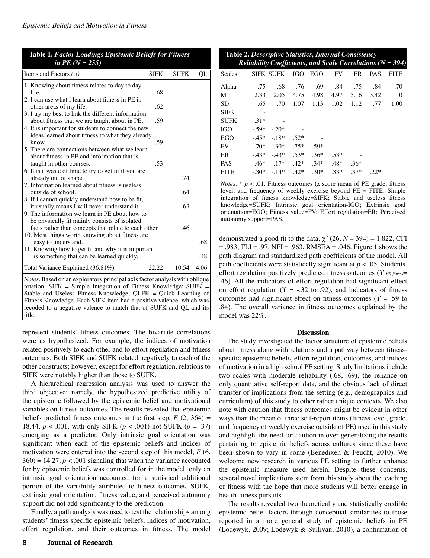| <b>Table 1. Factor Loadings Epistemic Beliefs for Fitness</b><br>in PE $(N = 255)$                                                                                                                                                                                                                   |             |             |      |  |  |  |  |  |  |
|------------------------------------------------------------------------------------------------------------------------------------------------------------------------------------------------------------------------------------------------------------------------------------------------------|-------------|-------------|------|--|--|--|--|--|--|
| Items and Factors $(\alpha)$                                                                                                                                                                                                                                                                         | <b>SIFK</b> | <b>SUFK</b> | QL   |  |  |  |  |  |  |
| 1. Knowing about fitness relates to day to day                                                                                                                                                                                                                                                       |             |             |      |  |  |  |  |  |  |
| life.                                                                                                                                                                                                                                                                                                | .68         |             |      |  |  |  |  |  |  |
| 2. I can use what I learn about fitness in PE in                                                                                                                                                                                                                                                     |             |             |      |  |  |  |  |  |  |
| other areas of my life.                                                                                                                                                                                                                                                                              | .62         |             |      |  |  |  |  |  |  |
| 3. I try my best to link the different information                                                                                                                                                                                                                                                   | .59         |             |      |  |  |  |  |  |  |
| about fitness that we are taught about in PE.<br>4. It is important for students to connect the new                                                                                                                                                                                                  |             |             |      |  |  |  |  |  |  |
| ideas learned about fitness to what they already                                                                                                                                                                                                                                                     |             |             |      |  |  |  |  |  |  |
| know.                                                                                                                                                                                                                                                                                                | .59         |             |      |  |  |  |  |  |  |
| 5. There are connections between what we learn                                                                                                                                                                                                                                                       |             |             |      |  |  |  |  |  |  |
| about fitness in PE and information that is                                                                                                                                                                                                                                                          |             |             |      |  |  |  |  |  |  |
| taught in other courses.                                                                                                                                                                                                                                                                             | .53         |             |      |  |  |  |  |  |  |
| 6. It is a waste of time to try to get fit if you are                                                                                                                                                                                                                                                |             |             |      |  |  |  |  |  |  |
| already out of shape.                                                                                                                                                                                                                                                                                |             | .74         |      |  |  |  |  |  |  |
| 7. Information learned about fitness is useless                                                                                                                                                                                                                                                      |             |             |      |  |  |  |  |  |  |
| outside of school.                                                                                                                                                                                                                                                                                   |             | .64         |      |  |  |  |  |  |  |
| 8. If I cannot quickly understand how to be fit,<br>it usually means I will never understand it.                                                                                                                                                                                                     |             | .63         |      |  |  |  |  |  |  |
| 9. The information we learn in PE about how to                                                                                                                                                                                                                                                       |             |             |      |  |  |  |  |  |  |
| be physically fit mainly consists of isolated                                                                                                                                                                                                                                                        |             |             |      |  |  |  |  |  |  |
| facts rather than concepts that relate to each other.                                                                                                                                                                                                                                                |             | .46         |      |  |  |  |  |  |  |
| 10. Most things worth knowing about fitness are                                                                                                                                                                                                                                                      |             |             |      |  |  |  |  |  |  |
| easy to understand.                                                                                                                                                                                                                                                                                  |             |             | .68  |  |  |  |  |  |  |
| 11. Knowing how to get fit and why it is important                                                                                                                                                                                                                                                   |             |             |      |  |  |  |  |  |  |
| is something that can be learned quickly.                                                                                                                                                                                                                                                            |             |             | .48  |  |  |  |  |  |  |
| Total Variance Explained (36.81%)                                                                                                                                                                                                                                                                    | 22.22       | 10.54       | 4.06 |  |  |  |  |  |  |
| <i>Notes</i> . Based on an exploratory principal axis factor analysis with oblique<br>rotation; $SIFK = Simple Integration of Fitness Knowledge$ ; $SUFK =$<br>Stable and Useless Fitness Knowledge; QLFK = Quick Learning of<br>Eitness Knowledge, Each SIEK item had a positive valence, which was |             |             |      |  |  |  |  |  |  |

Fitness Knowledge. Each SIFK item had a positive valence, which was recoded to a negative valence to match that of SUFK and QL and its title.

represent students' fitness outcomes. The bivariate correlations were as hypothesized. For example, the indices of motivation related positively to each other and to effort regulation and fitness outcomes. Both SIFK and SUFK related negatively to each of the other constructs; however, except for effort regulation, relations to SIFK were notably higher than those to SUFK.

A hierarchical regression analysis was used to answer the third objective; namely, the hypothesized predictive utility of the epistemic followed by the epistemic belief and motivational variables on fitness outcomes. The results revealed that epistemic beliefs predicted fitness outcomes in the first step,  $F(2, 364) =$ 18.44, *p* < .001, with only SIFK (*p* < .001) not SUFK (*p* = .37) emerging as a predictor. Only intrinsic goal orientation was significant when each of the epistemic beliefs and indices of motivation were entered into the second step of this model, *F* (6,  $360$ ) = 14.27,  $p < .001$  signaling that when the variance accounted for by epistemic beliefs was controlled for in the model, only an intrinsic goal orientation accounted for a statistical additional portion of the variability attributed to fitness outcomes. SUFK, extrinsic goal orientation, fitness value, and perceived autonomy support did not add significantly to the prediction.

Finally, a path analysis was used to test the relationships among students' fitness specific epistemic beliefs, indices of motivation, effort regulation, and their outcomes in fitness. The model

**Table 2.** *Descriptive Statistics, Internal Consistency Reliability Coefficients, and Scale Correlations (N = 394)*

| nemont) coojjietems, ana bean col<br>$1$ versions $141$<br>$\sim$ |        |                                         |      |           |        |        |            |             |  |  |
|-------------------------------------------------------------------|--------|-----------------------------------------|------|-----------|--------|--------|------------|-------------|--|--|
| Scales                                                            |        | SIFK SUFK IGO EGO                       |      |           | FV     | ER     | <b>PAS</b> | <b>FITE</b> |  |  |
| Alpha                                                             | .75    | .68                                     | .76  | .69       | .84    | .75    | .84        | .70         |  |  |
| M                                                                 | 2.33   | 2.05                                    |      | 4.75 4.98 | 4.97   | 5.16   | 3.42       | $\mathbf 0$ |  |  |
| <b>SD</b>                                                         | .65    | .70 <sub>1</sub>                        | 1.07 | 1.13      | 1.02   | 1.12   | .77        | 1.00        |  |  |
| <b>SIFK</b>                                                       |        |                                         |      |           |        |        |            |             |  |  |
| <b>SUFK</b>                                                       | $.31*$ |                                         |      |           |        |        |            |             |  |  |
| IGO                                                               |        | $-.59*-.20*$                            |      |           |        |        |            |             |  |  |
| EGO                                                               |        | $-.45*$ $-.18*$ $.52*$                  |      |           |        |        |            |             |  |  |
| FV                                                                |        | $-0.70^*$ $-0.30^*$ $-0.75^*$           |      | $.59*$    |        |        |            |             |  |  |
| ER                                                                |        | $-43^*$ $-43^*$ $-53^*$                 |      | $.36*$    | $.53*$ |        |            |             |  |  |
| <b>PAS</b>                                                        |        | $-0.46^*$ $-0.17^*$ $-0.42^*$ $-0.34^*$ |      |           | $.48*$ | $.36*$ |            |             |  |  |
| <b>FITE</b>                                                       |        | $-30^*$ $-14^*$ $-42^*$ $-30^*$ $-33^*$ |      |           |        | $.37*$ | $.22*$     |             |  |  |

*Notes.*  $* p < .01$ . Fitness outcomes (z score mean of PE grade, fitness level, and frequency of weekly exercise beyond PE = FITE; Simple integration of fitness knowledge=SIFK; Stable and useless fitness knowledge=SUFK; Intrinsic goal orientation-IGO; Extrinsic goal orientation=EGO; Fitness value=FV; Effort regulation=ER; Perceived autonomy support=PAS.

demonstrated a good fit to the data,  $\chi^2$  (26, *N* = 394) = 1.822, CFI  $= .983$ , TLI = .97, NFI = .963, RMSEA = .046. Figure 1 shows the path diagram and standardized path coefficients of the model. All path coefficients were statistically significant at  $p < .05$ . Students' effort regulation positively predicted fitness outcomes  $(Y_{ER\text{-}fitness} =$ .46). All the indicators of effort regulation had significant effect on effort regulation ( $\Upsilon$  = -.32 to .92), and indicators of fitness outcomes had significant effect on fitness outcomes  $(Y = .59$  to .84). The overall variance in fitness outcomes explained by the model was 22%.

## **Discussion**

The study investigated the factor structure of epistemic beliefs about fitness along with relations and a pathway between fitnessspecific epistemic beliefs, effort regulation, outcomes, and indices of motivation in a high school PE setting. Study limitations include two scales with moderate reliability (.68, .69), the reliance on only quantitative self-report data, and the obvious lack of direct transfer of implications from the setting (e.g., demographics and curriculum) of this study to other rather unique contexts. We also note with caution that fitness outcomes might be evident in other ways than the mean of three self-report items (fitness level, grade, and frequency of weekly exercise outside of PE) used in this study and highlight the need for caution in over-generalizing the results pertaining to epistemic beliefs across cultures since these have been shown to vary in some (Benedixen & Feucht, 2010). We welcome new research in various PE setting to further enhance the epistemic measure used herein. Despite these concerns, several novel implications stem from this study about the teaching of fitness with the hope that more students will better engage in health-fitness pursuits.

The results revealed two theoretically and statistically credible epistemic belief factors through conceptual similarities to those reported in a more general study of epistemic beliefs in PE (Lodewyk, 2009; Lodewyk & Sullivan, 2010), a confirmation of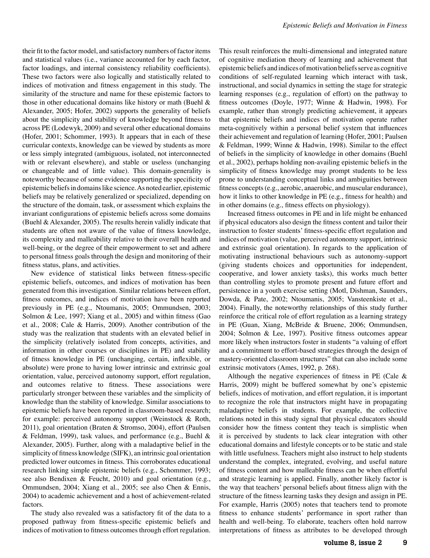their fit to the factor model, and satisfactory numbers of factor items and statistical values (i.e., variance accounted for by each factor, factor loadings, and internal consistency reliability coefficients). These two factors were also logically and statistically related to indices of motivation and fitness engagement in this study. The similarity of the structure and name for these epistemic factors to those in other educational domains like history or math (Buehl & Alexander, 2005; Hofer, 2002) supports the generality of beliefs about the simplicity and stability of knowledge beyond fitness to across PE (Lodewyk, 2009) and several other educational domains (Hofer, 2001; Schommer, 1993). It appears that in each of these curricular contexts, knowledge can be viewed by students as more or less simply integrated (ambiguous, isolated, not interconnected with or relevant elsewhere), and stable or useless (unchanging or changeable and of little value). This domain-generality is noteworthy because of some evidence supporting the specificity of epistemic beliefs in domains like science. As noted earlier, epistemic beliefs may be relatively generalized or specialized, depending on the structure of the domain, task, or assessment which explains the invariant configurations of epistemic beliefs across some domains (Buehl & Alexander, 2005). The results herein validly indicate that students are often not aware of the value of fitness knowledge, its complexity and malleability relative to their overall health and well-being, or the degree of their empowerment to set and adhere to personal fitness goals through the design and monitoring of their fitness status, plans, and activities.

New evidence of statistical links between fitness-specific epistemic beliefs, outcomes, and indices of motivation has been generated from this investigation. Similar relations between effort, fitness outcomes, and indices of motivation have been reported previously in PE (e.g., Ntoumanis, 2005; Ommundsen, 2003; Solmon & Lee, 1997; Xiang et al., 2005) and within fitness (Gao et al., 2008; Cale & Harris, 2009). Another contribution of the study was the realization that students with an elevated belief in the simplicity (relatively isolated from concepts, activities, and information in other courses or disciplines in PE) and stability of fitness knowledge in PE (unchanging, certain, inflexible, or absolute) were prone to having lower intrinsic and extrinsic goal orientation, value, perceived autonomy support, effort regulation, and outcomes relative to fitness. These associations were particularly stronger between these variables and the simplicity of knowledge than the stability of knowledge. Similar associations to epistemic beliefs have been reported in classroom-based research; for example: perceived autonomy support (Weinstock & Roth, 2011), goal orientation (Braten & Stromso, 2004), effort (Paulsen & Feldman, 1999), task values, and performance (e.g., Buehl & Alexander, 2005). Further, along with a maladaptive belief in the simplicity of fitness knowledge (SIFK), an intrinsic goal orientation predicted lower outcomes in fitness. This corroborates educational research linking simple epistemic beliefs (e.g., Schommer, 1993; see also Bendixen & Feucht, 2010) and goal orientation (e.g., Ommundsen, 2004; Xiang et al., 2005; see also Chen & Ennis, 2004) to academic achievement and a host of achievement-related factors.

The study also revealed was a satisfactory fit of the data to a proposed pathway from fitness-specific epistemic beliefs and indices of motivation to fitness outcomes through effort regulation. This result reinforces the multi-dimensional and integrated nature of cognitive mediation theory of learning and achievement that epistemic beliefs and indices of motivation beliefs serve as cognitive conditions of self-regulated learning which interact with task, instructional, and social dynamics in setting the stage for strategic learning responses (e.g., regulation of effort) on the pathway to fitness outcomes (Doyle, 1977; Winne & Hadwin, 1998). For example, rather than strongly predicting achievement, it appears that epistemic beliefs and indices of motivation operate rather meta-cognitively within a personal belief system that influences their achievement and regulation of learning (Hofer, 2001; Paulsen & Feldman, 1999; Winne & Hadwin, 1998). Similar to the effect of beliefs in the simplicity of knowledge in other domains (Buehl et al., 2002), perhaps holding non-availing epistemic beliefs in the simplicity of fitness knowledge may prompt students to be less prone to understanding conceptual links and ambiguities between fitness concepts (e.g., aerobic, anaerobic, and muscular endurance), how it links to other knowledge in PE (e.g., fitness for health) and in other domains (e.g., fitness effects on physiology).

Increased fitness outcomes in PE and in life might be enhanced if physical educators also design the fitness content and tailor their instruction to foster students' fitness-specific effort regulation and indices of motivation (value, perceived autonomy support, intrinsic and extrinsic goal orientation). In regards to the application of motivating instructional behaviours such as autonomy-support (giving students choices and opportunities for independent, cooperative, and lower anxiety tasks), this works much better than controlling styles to promote present and future effort and persistence in a youth exercise setting (Motl, Dishman, Saunders, Dowda, & Pate, 2002; Ntoumanis, 2005; Vansteenkiste et al., 2004). Finally, the noteworthy relationships of this study further reinforce the critical role of effort regulation as a learning strategy in PE (Guan, Xiang, McBride & Bruene, 2006; Ommundsen, 2004; Solmon & Lee, 1997). Positive fitness outcomes appear more likely when instructors foster in students "a valuing of effort and a commitment to effort-based strategies through the design of mastery-oriented classroom structures" that can also include some extrinsic motivators (Ames, 1992, p. 268).

Although the negative experiences of fitness in PE (Cale  $\&$ Harris, 2009) might be buffered somewhat by one's epistemic beliefs, indices of motivation, and effort regulation, it is important to recognize the role that instructors might have in propagating maladaptive beliefs in students. For example, the collective relations noted in this study signal that physical educators should consider how the fitness content they teach is simplistic when it is perceived by students to lack clear integration with other educational domains and lifestyle concepts or to be static and stale with little usefulness. Teachers might also instruct to help students understand the complex, integrated, evolving, and useful nature of fitness content and how malleable fitness can be when effortful and strategic learning is applied. Finally, another likely factor is the way that teachers' personal beliefs about fitness align with the structure of the fitness learning tasks they design and assign in PE. For example, Harris (2005) notes that teachers tend to promote fitness to enhance students' performance in sport rather than health and well-being. To elaborate, teachers often hold narrow interpretations of fitness as attributes to be developed through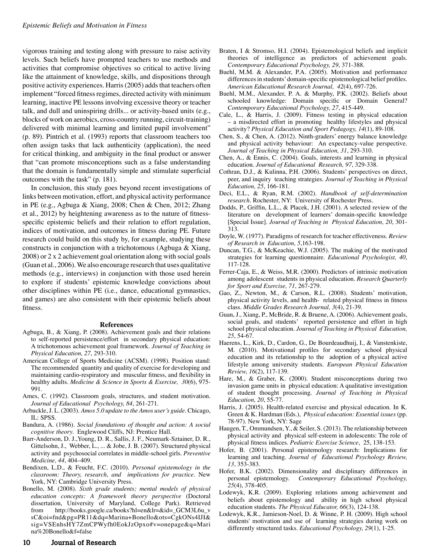vigorous training and testing along with pressure to raise activity levels. Such beliefs have prompted teachers to use methods and activities that compromise objectives so critical to active living like the attainment of knowledge, skills, and dispositions through positive activity experiences. Harris (2005) adds that teachers often implement "forced fitness regimes, directed activity with minimum learning, inactive PE lessons involving excessive theory or teacher talk, and dull and uninspiring drills... or activity-based units (e.g., blocks of work on aerobics, cross-country running, circuit-training) delivered with minimal learning and limited pupil involvement" (p. 89). Pintrich et al. (1993) reports that classroom teachers too often assign tasks that lack authenticity (application), the need for critical thinking, and ambiguity in the final product or answer that "can promote misconceptions such as a false understanding that the domain is fundamentally simple and stimulate superficial outcomes with the task" (p. 181).

In conclusion, this study goes beyond recent investigations of links between motivation, effort, and physical activity performance in PE (e.g., Agbuga & Xiang, 2008; Chen & Chen, 2012; Zhang et al., 2012) by heightening awareness as to the nature of fitnessspecific epistemic beliefs and their relation to effort regulation, indices of motivation, and outcomes in fitness during PE. Future research could build on this study by, for example, studying these constructs in conjunction with a trichotomous (Agbuga & Xiang, 2008) or 2 x 2 achievement goal orientation along with social goals (Guan et al., 2006). We also encourage research that uses qualitative methods (e.g., interviews) in conjunction with those used herein to explore if students' epistemic knowledge convictions about other disciplines within PE (i.e., dance, educational gymnastics, and games) are also consistent with their epistemic beliefs about fitness.

#### **References**

- Agbuga, B., & Xiang, P. (2008). Achievement goals and their relations to self-reported persistence/effort in secondary physical education: A trichotomous achievement goal framework. *Journal of Teaching in Physical Education, 27*, 293-310.
- American College of Sports Medicine (ACSM). (1998). Position stand: The recommended quantity and quality of exercise for developing and maintaining cardio-respiratory and muscular fitness, and flexibility in healthy adults. *Medicine & Science in Sports & Exercise, 30*(6), 975- 991.
- Ames, C. (1992). Classroom goals, structures, and student motivation. *Journal of Educational Psychology, 84*, 261-271.
- Arbuckle, J. L. (2003). *Amos 5.0 update to the Amos user's guide*. Chicago, IL: SPSS.
- Bandura, A. (1986). *Social foundations of thought and action: A social cognitive theory*. Englewood Cliffs, NJ: Prentice Hall.
- Barr-Anderson, D. J.,Young, D. R., Sallis, J. F., Neumark-Sztainer, D. R., Gittelsohn, J., Webber, L., ... & Jobe, J. B. (2007). Structured physical activity and psychosocial correlates in middle-school girls. *Preventive Medicine, 44*, 404–409.
- Bendixen, L.D., & Feucht, F.C. (2010). *Personal epistemology in the classroom: Theory, research, and implications for practice*. New York, NY: Cambridge University Press.
- Bonello, M. (2008). *Sixth grade students; mental models of physical education concepts: A framework theory perspective* (Doctoral dissertation, University of Maryland, College Park). Retrieved from http://books.google.ca/books?hl=en&lr=&id=\_GCM3L6u\_v sC&oi=fnd&pg=PR11&dq=Marina+Bonello&ots=CgkONs4IJI& sig=VSEnhsHY7ZmCPWyfh0EokJzOpxo#v=onepage&q=Mari na%20Bonello&f=false
- Braten, I & Stromso, H.I. (2004). Epistemological beliefs and implicit theories of intelligence as predictors of achievement goals. *Contemporary Educational Psychology, 29*, 371-388.
- Buehl, M.M. & Alexander, P.A. (2005). Motivation and performance differences in students' domain-specific epistemological belief profiles. *American Educational Research Journal, 42*(4), 697-726.
- Buehl, M.M., Alexander, P. A. & Murphy, P.K. (2002). Beliefs about schooled knowledge: Domain specific or Domain General? *Contemporary Educational Psychology, 27*, 415-449.
- Cale, L., & Harris, J. (2009). Fitness testing in physical education – a misdirected effort in promoting healthy lifestyles and physical activity? *Physical Education and Sport Pedagogy, 14*(1), 89-108.
- Chen, S., & Chen, A. (2012). Ninth-graders' energy balance knowledge and physical activity behaviour: An expectancy-value perspective. *Journal of Teaching in Physical Education, 31*, 293-310.
- Chen, A., & Ennis, C. (2004). Goals, interests and learning in physical education. *Journal of Educational Research, 97*, 329-338.
- Cothran, D.J., & Kulinna, P.H. (2006). Students' perspectives on direct, peer, and inquiry teaching strategies. *Journal of Teaching in Physical Education, 25*, 166-181.
- Deci, E.L., & Ryan, R.M. (2002). *Handbook of self-determination research*. Rochester, NY: University of Rochester Press.
- Dodds, P., Griffin, L.L., & Placek, J.H. (2001). A selected review of the literature on development of learners' domain-specific knowledge [Special Issue]. *Journal of Teaching in Physical Education, 20*, 301- 313.
- Doyle, W. (1977). Paradigms of research for teacher effectiveness. *Review of Research in Education, 5*,163-198.
- Duncan, T.G., & McKeachie, W.J. (2005). The making of the motivated strategies for learning questionnaire. *Educational Psychologist, 40*, 117-128.
- Ferrer-Caja, E., & Weiss, M.R. (2000). Predictors of intrinsic motivation among adolescent students in physical education. *Research Quarterly for Sport and Exercise, 71*, 267-279.
- Gao, Z., Newton, M., & Carson, R.L. (2008). Students' motivation, physical activity levels, and health- related physical fitness in fitness class. *Middle Grades Research Journal, 3*(4), 21-39.
- Guan, J., Xiang, P., McBride, R. & Bruene, A. (2006). Achievement goals, social goals, and students' reported persistence and effort in high school physical education. *Journal of Teaching in Physical Education, 25*, 54-67.
- Haerens, L., Kirk, D., Cardon, G., De Bourdeaudhuij, I., & Vanstenkiste, M. (2010). Motivational profiles for secondary school physical education and its relationship to the adoption of a physical active lifestyle among university students. *European Physical Education Review, 16*(2), 117-139.
- Hare, M., & Graber, K. (2000). Student misconceptions during two invasion game units in physical education: A qualitative investigation of student thought processing. *Journal of Teaching in Physical Education, 20*, 55-77.
- Harris, J. (2005). Health-related exercise and physical education. In K. Green & K. Hardman (Eds.), *Physical education: Essential issues* (pp. 78-97). New York, NY: Sage
- Haugen, T., Ommundsen, Y., & Seiler, S. (2013). The relationship between physical activity and physical self-esteem in adolescents: The role of physical fitness indices. *Pediatric Exercise Science*, 25, 138-153.
- Hofer, B. (2001). Personal epistemology research: Implications for learning and teaching. *Journal of Educational Psychology Review, 13*, 353-383.
- Hofer, B.K. (2002). Dimensionality and disciplinary differences in personal epistemology. *Contemporary Educational Psychology, 25*(4), 378-405.
- Lodewyk, K.R. (2009). Exploring relations among achievement and beliefs about epistemology and ability in high school physical education students. *The Physical Educator, 66*(3), 124-138.
- Lodewyk, K.R., Jamieson-Noel, D. & Winne, P. H. (2009). High school students' motivation and use of learning strategies during work on differently structured tasks. *Educational Psychology, 29*(1), 1-25.